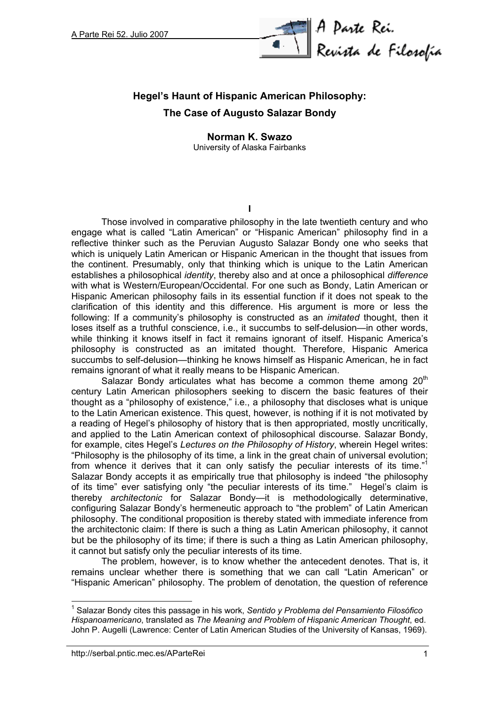

## **Hegel's Haunt of Hispanic American Philosophy: The Case of Augusto Salazar Bondy**

## **Norman K. Swazo** University of Alaska Fairbanks

**I**

Those involved in comparative philosophy in the late twentieth century and who engage what is called "Latin American" or "Hispanic American" philosophy find in a reflective thinker such as the Peruvian Augusto Salazar Bondy one who seeks that which is uniquely Latin American or Hispanic American in the thought that issues from the continent. Presumably, only that thinking which is unique to the Latin American establishes a philosophical *identity*, thereby also and at once a philosophical *difference* with what is Western/European/Occidental. For one such as Bondy, Latin American or Hispanic American philosophy fails in its essential function if it does not speak to the clarification of this identity and this difference. His argument is more or less the following: If a community's philosophy is constructed as an *imitated* thought, then it loses itself as a truthful conscience, i.e., it succumbs to self-delusion—in other words, while thinking it knows itself in fact it remains ignorant of itself. Hispanic America's philosophy is constructed as an imitated thought. Therefore, Hispanic America succumbs to self-delusion—thinking he knows himself as Hispanic American, he in fact remains ignorant of what it really means to be Hispanic American.

Salazar Bondy articulates what has become a common theme among  $20<sup>th</sup>$ century Latin American philosophers seeking to discern the basic features of their thought as a "philosophy of existence," i.e., a philosophy that discloses what is unique to the Latin American existence. This quest, however, is nothing if it is not motivated by a reading of Hegel's philosophy of history that is then appropriated, mostly uncritically, and applied to the Latin American context of philosophical discourse. Salazar Bondy, for example, cites Hegel's *Lectures on the Philosophy of History*, wherein Hegel writes: "Philosophy is the philosophy of its time, a link in the great chain of universal evolution; from whence it derives that it can only satisfy the peculiar interests of its time."1 Salazar Bondy accepts it as empirically true that philosophy is indeed "the philosophy of its time" ever satisfying only "the peculiar interests of its time." Hegel's claim is thereby *architectonic* for Salazar Bondy—it is methodologically determinative, configuring Salazar Bondy's hermeneutic approach to "the problem" of Latin American philosophy. The conditional proposition is thereby stated with immediate inference from the architectonic claim: If there is such a thing as Latin American philosophy, it cannot but be the philosophy of its time; if there is such a thing as Latin American philosophy, it cannot but satisfy only the peculiar interests of its time.

The problem, however, is to know whether the antecedent denotes. That is, it remains unclear whether there is something that we can call "Latin American" or "Hispanic American" philosophy. The problem of denotation, the question of reference

<sup>1</sup> Salazar Bondy cites this passage in his work, *Sentido y Problema del Pensamiento Filosófico Hispanoamericano*, translated as *The Meaning and Problem of Hispanic American Thought*, ed. John P. Augelli (Lawrence: Center of Latin American Studies of the University of Kansas, 1969).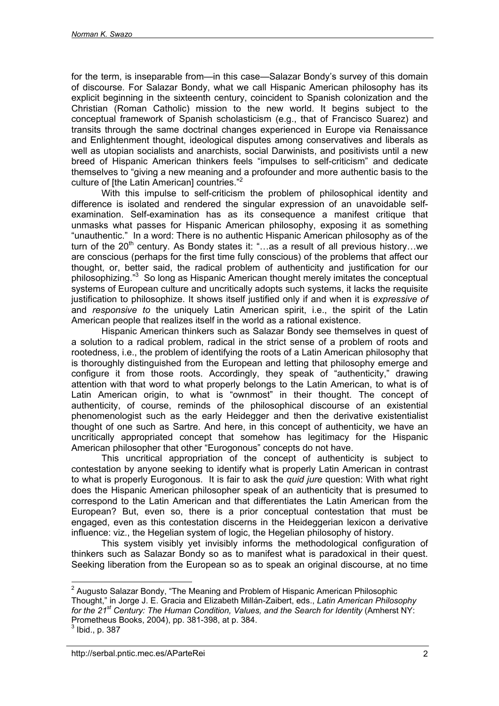for the term, is inseparable from—in this case—Salazar Bondy's survey of this domain of discourse. For Salazar Bondy, what we call Hispanic American philosophy has its explicit beginning in the sixteenth century, coincident to Spanish colonization and the Christian (Roman Catholic) mission to the new world. It begins subject to the conceptual framework of Spanish scholasticism (e.g., that of Francisco Suarez) and transits through the same doctrinal changes experienced in Europe via Renaissance and Enlightenment thought, ideological disputes among conservatives and liberals as well as utopian socialists and anarchists, social Darwinists, and positivists until a new breed of Hispanic American thinkers feels "impulses to self-criticism" and dedicate themselves to "giving a new meaning and a profounder and more authentic basis to the culture of [the Latin American] countries."<sup>2</sup>

With this impulse to self-criticism the problem of philosophical identity and difference is isolated and rendered the singular expression of an unavoidable selfexamination. Self-examination has as its consequence a manifest critique that unmasks what passes for Hispanic American philosophy, exposing it as something "unauthentic." In a word: There is no authentic Hispanic American philosophy as of the turn of the  $20<sup>th</sup>$  century. As Bondy states it: "...as a result of all previous history...we are conscious (perhaps for the first time fully conscious) of the problems that affect our thought, or, better said, the radical problem of authenticity and justification for our philosophizing."<sup>3</sup> So long as Hispanic American thought merely imitates the conceptual systems of European culture and uncritically adopts such systems, it lacks the requisite justification to philosophize. It shows itself justified only if and when it is *expressive of* and *responsive to* the uniquely Latin American spirit, i.e., the spirit of the Latin American people that realizes itself in the world as a rational existence.

Hispanic American thinkers such as Salazar Bondy see themselves in quest of a solution to a radical problem, radical in the strict sense of a problem of roots and rootedness, i.e., the problem of identifying the roots of a Latin American philosophy that is thoroughly distinguished from the European and letting that philosophy emerge and configure it from those roots. Accordingly, they speak of "authenticity," drawing attention with that word to what properly belongs to the Latin American, to what is of Latin American origin, to what is "ownmost" in their thought. The concept of authenticity, of course, reminds of the philosophical discourse of an existential phenomenologist such as the early Heidegger and then the derivative existentialist thought of one such as Sartre. And here, in this concept of authenticity, we have an uncritically appropriated concept that somehow has legitimacy for the Hispanic American philosopher that other "Eurogonous" concepts do not have.

This uncritical appropriation of the concept of authenticity is subject to contestation by anyone seeking to identify what is properly Latin American in contrast to what is properly Eurogonous. It is fair to ask the *quid jure* question: With what right does the Hispanic American philosopher speak of an authenticity that is presumed to correspond to the Latin American and that differentiates the Latin American from the European? But, even so, there is a prior conceptual contestation that must be engaged, even as this contestation discerns in the Heideggerian lexicon a derivative influence: viz., the Hegelian system of logic, the Hegelian philosophy of history.

This system visibly yet invisibly informs the methodological configuration of thinkers such as Salazar Bondy so as to manifest what is paradoxical in their quest. Seeking liberation from the European so as to speak an original discourse, at no time

 $\overline{a}$ <sup>2</sup> Augusto Salazar Bondy, "The Meaning and Problem of Hispanic American Philosophic Thought," in Jorge J. E. Gracia and Elizabeth Millán-Zaibert, eds., *Latin American Philosophy* for the 21<sup>st</sup> Century: The Human Condition, Values, and the Search for Identity (Amherst NY: Prometheus Books, 2004), pp. 381-398, at p. 384.

 $^3$  Ibid., p. 387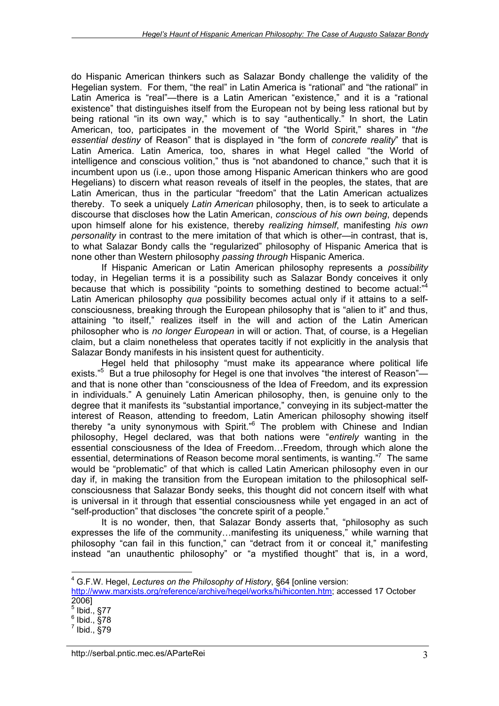do Hispanic American thinkers such as Salazar Bondy challenge the validity of the Hegelian system. For them, "the real" in Latin America is "rational" and "the rational" in Latin America is "real"—there is a Latin American "existence," and it is a "rational existence" that distinguishes itself from the European not by being less rational but by being rational "in its own way," which is to say "authentically." In short, the Latin American, too, participates in the movement of "the World Spirit," shares in "*the essential destiny* of Reason" that is displayed in "the form of *concrete reality*" that is Latin America. Latin America, too, shares in what Hegel called "the World of intelligence and conscious volition," thus is "not abandoned to chance," such that it is incumbent upon us (i.e., upon those among Hispanic American thinkers who are good Hegelians) to discern what reason reveals of itself in the peoples, the states, that are Latin American, thus in the particular "freedom" that the Latin American actualizes thereby. To seek a uniquely *Latin American* philosophy, then, is to seek to articulate a discourse that discloses how the Latin American, *conscious of his own being*, depends upon himself alone for his existence, thereby *realizing himself*, manifesting *his own personality* in contrast to the mere imitation of that which is other—in contrast, that is, to what Salazar Bondy calls the "regularized" philosophy of Hispanic America that is none other than Western philosophy *passing through* Hispanic America.

If Hispanic American or Latin American philosophy represents a *possibility* today, in Hegelian terms it is a possibility such as Salazar Bondy conceives it only because that which is possibility "points to something destined to become actual:"<sup>4</sup> Latin American philosophy *qua* possibility becomes actual only if it attains to a selfconsciousness, breaking through the European philosophy that is "alien to it" and thus, attaining "to itself," realizes itself in the will and action of the Latin American philosopher who is *no longer European* in will or action. That, of course, is a Hegelian claim, but a claim nonetheless that operates tacitly if not explicitly in the analysis that Salazar Bondy manifests in his insistent quest for authenticity.

Hegel held that philosophy "must make its appearance where political life exists."<sup>5</sup> But a true philosophy for Hegel is one that involves "the interest of Reason"and that is none other than "consciousness of the Idea of Freedom, and its expression in individuals." A genuinely Latin American philosophy, then, is genuine only to the degree that it manifests its "substantial importance," conveying in its subject-matter the interest of Reason, attending to freedom, Latin American philosophy showing itself thereby "a unity synonymous with Spirit."<sup>6</sup> The problem with Chinese and Indian philosophy, Hegel declared, was that both nations were "*entirely* wanting in the essential consciousness of the Idea of Freedom…Freedom, through which alone the essential, determinations of Reason become moral sentiments, is wanting."<sup>7</sup> The same would be "problematic" of that which is called Latin American philosophy even in our day if, in making the transition from the European imitation to the philosophical selfconsciousness that Salazar Bondy seeks, this thought did not concern itself with what is universal in it through that essential consciousness while yet engaged in an act of "self-production" that discloses "the concrete spirit of a people."

It is no wonder, then, that Salazar Bondy asserts that, "philosophy as such expresses the life of the community…manifesting its uniqueness," while warning that philosophy "can fail in this function," can "detract from it or conceal it," manifesting instead "an unauthentic philosophy" or "a mystified thought" that is, in a word,

<sup>4</sup> G.F.W. Hegel, *Lectures on the Philosophy of History*, §64 [online version:

[http://www.marxists.org/reference/archive/hegel/works/hi/hiconten.htm;](http://www.marxists.org/reference/archive/hegel/works/hi/hiconten.htm) accessed 17 October

<sup>2006]</sup>

 $<sup>5</sup>$  Ibid., §77</sup>  $^6$  Ibid.,  $\S$ 78

 $^7$  Ibid.,  $\S$ 79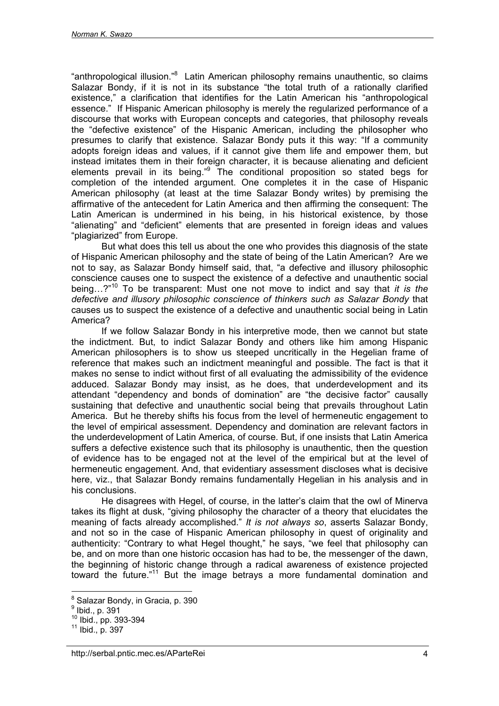"anthropological illusion."<sup>8</sup> Latin American philosophy remains unauthentic, so claims Salazar Bondy, if it is not in its substance "the total truth of a rationally clarified existence," a clarification that identifies for the Latin American his "anthropological essence." If Hispanic American philosophy is merely the regularized performance of a discourse that works with European concepts and categories, that philosophy reveals the "defective existence" of the Hispanic American, including the philosopher who presumes to clarify that existence. Salazar Bondy puts it this way: "If a community adopts foreign ideas and values, if it cannot give them life and empower them, but instead imitates them in their foreign character, it is because alienating and deficient elements prevail in its being."<sup>9</sup> The conditional proposition so stated begs for completion of the intended argument. One completes it in the case of Hispanic American philosophy (at least at the time Salazar Bondy writes) by premising the affirmative of the antecedent for Latin America and then affirming the consequent: The Latin American is undermined in his being, in his historical existence, by those "alienating" and "deficient" elements that are presented in foreign ideas and values "plagiarized" from Europe.

But what does this tell us about the one who provides this diagnosis of the state of Hispanic American philosophy and the state of being of the Latin American? Are we not to say, as Salazar Bondy himself said, that, "a defective and illusory philosophic conscience causes one to suspect the existence of a defective and unauthentic social being…?"10 To be transparent: Must one not move to indict and say that *it is the defective and illusory philosophic conscience of thinkers such as Salazar Bondy* that causes us to suspect the existence of a defective and unauthentic social being in Latin America?

If we follow Salazar Bondy in his interpretive mode, then we cannot but state the indictment. But, to indict Salazar Bondy and others like him among Hispanic American philosophers is to show us steeped uncritically in the Hegelian frame of reference that makes such an indictment meaningful and possible. The fact is that it makes no sense to indict without first of all evaluating the admissibility of the evidence adduced. Salazar Bondy may insist, as he does, that underdevelopment and its attendant "dependency and bonds of domination" are "the decisive factor" causally sustaining that defective and unauthentic social being that prevails throughout Latin America. But he thereby shifts his focus from the level of hermeneutic engagement to the level of empirical assessment. Dependency and domination are relevant factors in the underdevelopment of Latin America, of course. But, if one insists that Latin America suffers a defective existence such that its philosophy is unauthentic, then the question of evidence has to be engaged not at the level of the empirical but at the level of hermeneutic engagement. And, that evidentiary assessment discloses what is decisive here, viz., that Salazar Bondy remains fundamentally Hegelian in his analysis and in his conclusions.

He disagrees with Hegel, of course, in the latter's claim that the owl of Minerva takes its flight at dusk, "giving philosophy the character of a theory that elucidates the meaning of facts already accomplished." *It is not always so*, asserts Salazar Bondy, and not so in the case of Hispanic American philosophy in quest of originality and authenticity: "Contrary to what Hegel thought," he says, "we feel that philosophy can be, and on more than one historic occasion has had to be, the messenger of the dawn, the beginning of historic change through a radical awareness of existence projected toward the future."11 But the image betrays a more fundamental domination and

 8 Salazar Bondy, in Gracia, p. 390

 $^9$  Ibid., p. 391

 $10^{10}$  Ibid., pp. 393-394<br> $11$  Ibid., p. 397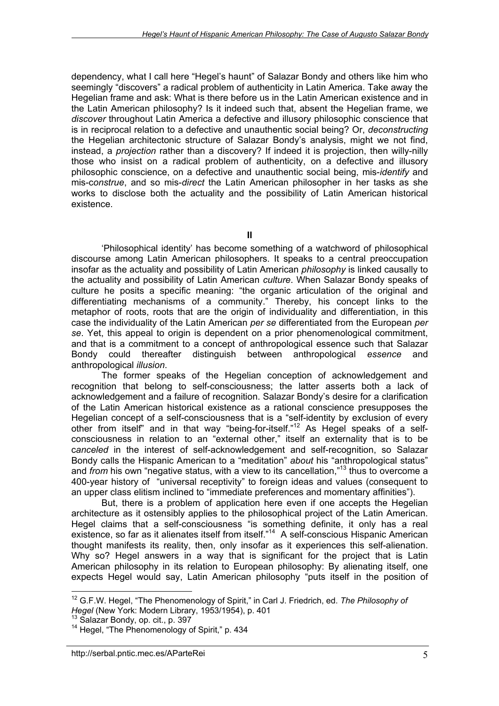dependency, what I call here "Hegel's haunt" of Salazar Bondy and others like him who seemingly "discovers" a radical problem of authenticity in Latin America. Take away the Hegelian frame and ask: What is there before us in the Latin American existence and in the Latin American philosophy? Is it indeed such that, absent the Hegelian frame, we *discover* throughout Latin America a defective and illusory philosophic conscience that is in reciprocal relation to a defective and unauthentic social being? Or, *deconstructing* the Hegelian architectonic structure of Salazar Bondy's analysis, might we not find, instead, a *projection* rather than a discovery? If indeed it is projection, then willy-nilly those who insist on a radical problem of authenticity, on a defective and illusory philosophic conscience, on a defective and unauthentic social being, mis-*identify* and mis-c*onstrue*, and so mis-*direct* the Latin American philosopher in her tasks as she works to disclose both the actuality and the possibility of Latin American historical existence.

**II**

'Philosophical identity' has become something of a watchword of philosophical discourse among Latin American philosophers. It speaks to a central preoccupation insofar as the actuality and possibility of Latin American *philosophy* is linked causally to the actuality and possibility of Latin American *culture*. When Salazar Bondy speaks of culture he posits a specific meaning: "the organic articulation of the original and differentiating mechanisms of a community." Thereby, his concept links to the metaphor of roots, roots that are the origin of individuality and differentiation, in this case the individuality of the Latin American *per se* differentiated from the European *per se*. Yet, this appeal to origin is dependent on a prior phenomenological commitment, and that is a commitment to a concept of anthropological essence such that Salazar Bondy could thereafter distinguish between anthropological *essence* and anthropological *illusion*.

The former speaks of the Hegelian conception of acknowledgement and recognition that belong to self-consciousness; the latter asserts both a lack of acknowledgement and a failure of recognition. Salazar Bondy's desire for a clarification of the Latin American historical existence as a rational conscience presupposes the Hegelian concept of a self-consciousness that is a "self-identity by exclusion of every other from itself" and in that way "being-for-itself."12 As Hegel speaks of a selfconsciousness in relation to an "external other," itself an externality that is to be c*anceled* in the interest of self-acknowledgement and self-recognition, so Salazar Bondy calls the Hispanic American to a "meditation" *about* his "anthropological status" and *from* his own "negative status, with a view to its cancellation,"13 thus to overcome a 400-year history of "universal receptivity" to foreign ideas and values (consequent to an upper class elitism inclined to "immediate preferences and momentary affinities").

But, there is a problem of application here even if one accepts the Hegelian architecture as it ostensibly applies to the philosophical project of the Latin American. Hegel claims that a self-consciousness "is something definite, it only has a real existence, so far as it alienates itself from itself."14 A self-conscious Hispanic American thought manifests its reality, then, only insofar as it experiences this self-alienation. Why so? Hegel answers in a way that is significant for the project that is Latin American philosophy in its relation to European philosophy: By alienating itself, one expects Hegel would say, Latin American philosophy "puts itself in the position of

<sup>&</sup>lt;sup>12</sup> G.F.W. Hegel, "The Phenomenology of Spirit," in Carl J. Friedrich, ed. The Philosophy of *Hegel* (New York: Modern Library, 1953/1954), p. 401<sup>13</sup> Salazar Bondy, op. cit., p. 397<sup>14</sup> Hegel, "The Phenomenology of Spirit," p. 434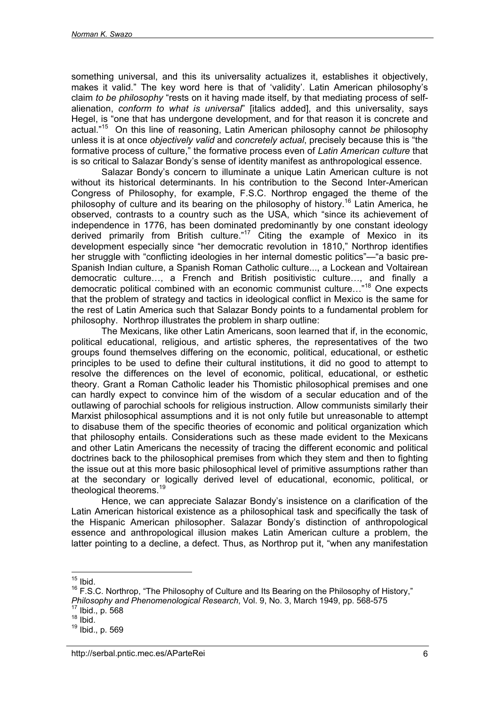something universal, and this its universality actualizes it, establishes it objectively, makes it valid." The key word here is that of 'validity'. Latin American philosophy's claim *to be philosophy* "rests on it having made itself, by that mediating process of selfalienation, *conform to what is universal*" [italics added], and this universality, says Hegel, is "one that has undergone development, and for that reason it is concrete and actual."15 On this line of reasoning, Latin American philosophy cannot *be* philosophy unless it is at once *objectively valid* and *concretely actual*, precisely because this is "the formative process of culture," the formative process even of *Latin American culture* that is so critical to Salazar Bondy's sense of identity manifest as anthropological essence.

Salazar Bondy's concern to illuminate a unique Latin American culture is not without its historical determinants. In his contribution to the Second Inter-American Congress of Philosophy, for example, F.S.C. Northrop engaged the theme of the philosophy of culture and its bearing on the philosophy of history.<sup>16</sup> Latin America, he observed, contrasts to a country such as the USA, which "since its achievement of independence in 1776, has been dominated predominantly by one constant ideology derived primarily from British culture."17 Citing the example of Mexico in its development especially since "her democratic revolution in 1810," Northrop identifies her struggle with "conflicting ideologies in her internal domestic politics"—"a basic pre-Spanish Indian culture, a Spanish Roman Catholic culture..., a Lockean and Voltairean democratic culture…, a French and British positivistic culture…, and finally a democratic political combined with an economic communist culture…"18 One expects that the problem of strategy and tactics in ideological conflict in Mexico is the same for the rest of Latin America such that Salazar Bondy points to a fundamental problem for philosophy. Northrop illustrates the problem in sharp outline:

The Mexicans, like other Latin Americans, soon learned that if, in the economic, political educational, religious, and artistic spheres, the representatives of the two groups found themselves differing on the economic, political, educational, or esthetic principles to be used to define their cultural institutions, it did no good to attempt to resolve the differences on the level of economic, political, educational, or esthetic theory. Grant a Roman Catholic leader his Thomistic philosophical premises and one can hardly expect to convince him of the wisdom of a secular education and of the outlawing of parochial schools for religious instruction. Allow communists similarly their Marxist philosophical assumptions and it is not only futile but unreasonable to attempt to disabuse them of the specific theories of economic and political organization which that philosophy entails. Considerations such as these made evident to the Mexicans and other Latin Americans the necessity of tracing the different economic and political doctrines back to the philosophical premises from which they stem and then to fighting the issue out at this more basic philosophical level of primitive assumptions rather than at the secondary or logically derived level of educational, economic, political, or theological theorems.<sup>19</sup>

Hence, we can appreciate Salazar Bondy's insistence on a clarification of the Latin American historical existence as a philosophical task and specifically the task of the Hispanic American philosopher. Salazar Bondy's distinction of anthropological essence and anthropological illusion makes Latin American culture a problem, the latter pointing to a decline, a defect. Thus, as Northrop put it, "when any manifestation

 $\overline{a}$  $15$  lbid.

 $16$  F.S.C. Northrop, "The Philosophy of Culture and Its Bearing on the Philosophy of History," *Philosophy and Phenomenological Research*, Vol. 9, No. 3, March 1949, pp. 568-575<br><sup>17</sup> Ibid., p. 568<br><sup>18</sup> Ibid.

<sup>19</sup> Ibid., p. 569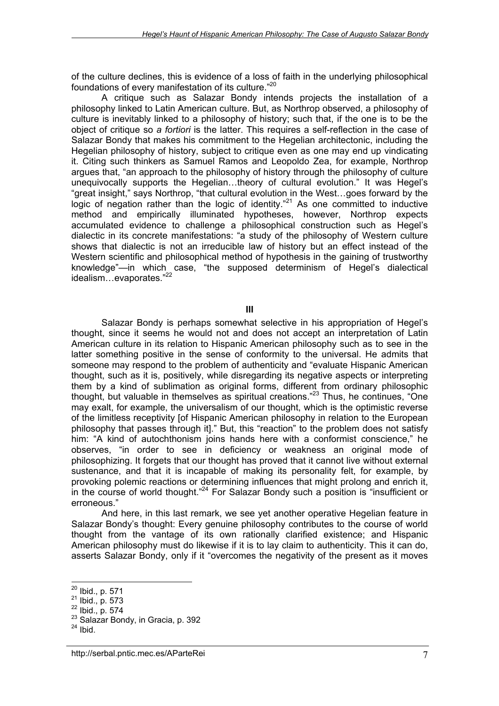of the culture declines, this is evidence of a loss of faith in the underlying philosophical foundations of every manifestation of its culture."20

A critique such as Salazar Bondy intends projects the installation of a philosophy linked to Latin American culture. But, as Northrop observed, a philosophy of culture is inevitably linked to a philosophy of history; such that, if the one is to be the object of critique so *a fortiori* is the latter. This requires a self-reflection in the case of Salazar Bondy that makes his commitment to the Hegelian architectonic, including the Hegelian philosophy of history, subject to critique even as one may end up vindicating it. Citing such thinkers as Samuel Ramos and Leopoldo Zea, for example, Northrop argues that, "an approach to the philosophy of history through the philosophy of culture unequivocally supports the Hegelian…theory of cultural evolution." It was Hegel's "great insight," says Northrop, "that cultural evolution in the West…goes forward by the logic of negation rather than the logic of identity."<sup>21</sup> As one committed to inductive method and empirically illuminated hypotheses, however, Northrop expects accumulated evidence to challenge a philosophical construction such as Hegel's dialectic in its concrete manifestations: "a study of the philosophy of Western culture shows that dialectic is not an irreducible law of history but an effect instead of the Western scientific and philosophical method of hypothesis in the gaining of trustworthy knowledge"—in which case, "the supposed determinism of Hegel's dialectical idealism...evaporates."22

**III**

Salazar Bondy is perhaps somewhat selective in his appropriation of Hegel's thought, since it seems he would not and does not accept an interpretation of Latin American culture in its relation to Hispanic American philosophy such as to see in the latter something positive in the sense of conformity to the universal. He admits that someone may respond to the problem of authenticity and "evaluate Hispanic American thought, such as it is, positively, while disregarding its negative aspects or interpreting them by a kind of sublimation as original forms, different from ordinary philosophic thought, but valuable in themselves as spiritual creations.<sup> $23$ </sup> Thus, he continues, "One may exalt, for example, the universalism of our thought, which is the optimistic reverse of the limitless receptivity [of Hispanic American philosophy in relation to the European philosophy that passes through it]." But, this "reaction" to the problem does not satisfy him: "A kind of autochthonism joins hands here with a conformist conscience," he observes, "in order to see in deficiency or weakness an original mode of philosophizing. It forgets that our thought has proved that it cannot live without external sustenance, and that it is incapable of making its personality felt, for example, by provoking polemic reactions or determining influences that might prolong and enrich it, in the course of world thought."<sup>24</sup> For Salazar Bondy such a position is "insufficient or erroneous."

And here, in this last remark, we see yet another operative Hegelian feature in Salazar Bondy's thought: Every genuine philosophy contributes to the course of world thought from the vantage of its own rationally clarified existence; and Hispanic American philosophy must do likewise if it is to lay claim to authenticity. This it can do, asserts Salazar Bondy, only if it "overcomes the negativity of the present as it moves

<sup>&</sup>lt;sup>20</sup> Ibid., p. 571

<sup>&</sup>lt;sup>21</sup> Ibid., p. 573<br><sup>22</sup> Ibid., p. 574<br><sup>23</sup> Salazar Bondy, in Gracia, p. 392<br><sup>24</sup> Ibid.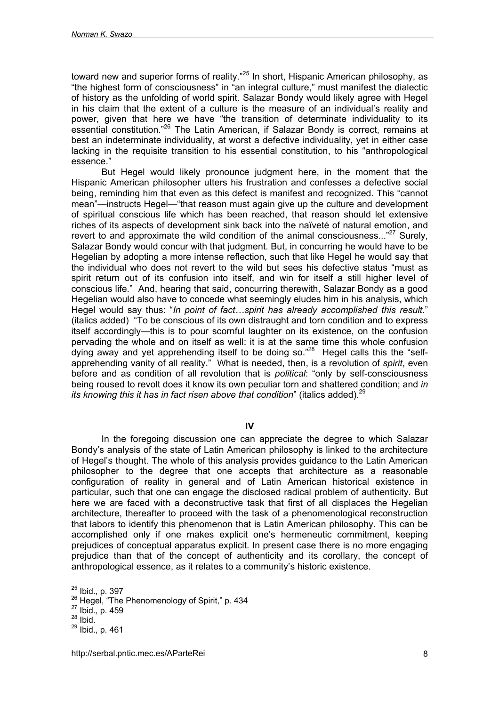toward new and superior forms of reality."<sup>25</sup> In short, Hispanic American philosophy, as "the highest form of consciousness" in "an integral culture," must manifest the dialectic of history as the unfolding of world spirit. Salazar Bondy would likely agree with Hegel in his claim that the extent of a culture is the measure of an individual's reality and power, given that here we have "the transition of determinate individuality to its essential constitution.<sup>"26</sup> The Latin American, if Salazar Bondy is correct, remains at best an indeterminate individuality, at worst a defective individuality, yet in either case lacking in the requisite transition to his essential constitution, to his "anthropological essence."

But Hegel would likely pronounce judgment here, in the moment that the Hispanic American philosopher utters his frustration and confesses a defective social being, reminding him that even as this defect is manifest and recognized. This "cannot mean"—instructs Hegel—"that reason must again give up the culture and development of spiritual conscious life which has been reached, that reason should let extensive riches of its aspects of development sink back into the naïveté of natural emotion, and revert to and approximate the wild condition of the animal consciousness... $"^{27}$  Surely. Salazar Bondy would concur with that judgment. But, in concurring he would have to be Hegelian by adopting a more intense reflection, such that like Hegel he would say that the individual who does not revert to the wild but sees his defective status "must as spirit return out of its confusion into itself, and win for itself a still higher level of conscious life." And, hearing that said, concurring therewith, Salazar Bondy as a good Hegelian would also have to concede what seemingly eludes him in his analysis, which Hegel would say thus: "*In point of fact…spirit has already accomplished this result*." (italics added) "To be conscious of its own distraught and torn condition and to express itself accordingly—this is to pour scornful laughter on its existence, on the confusion pervading the whole and on itself as well: it is at the same time this whole confusion dying away and yet apprehending itself to be doing so."<sup>28</sup> Hegel calls this the "selfapprehending vanity of all reality." What is needed, then, is a revolution of *spirit*, even before and as condition of all revolution that is *political*: "only by self-consciousness being roused to revolt does it know its own peculiar torn and shattered condition; and *in its knowing this it has in fact risen above that condition*" (italics added).<sup>29</sup>

**IV**

In the foregoing discussion one can appreciate the degree to which Salazar Bondy's analysis of the state of Latin American philosophy is linked to the architecture of Hegel's thought. The whole of this analysis provides guidance to the Latin American philosopher to the degree that one accepts that architecture as a reasonable configuration of reality in general and of Latin American historical existence in particular, such that one can engage the disclosed radical problem of authenticity. But here we are faced with a deconstructive task that first of all displaces the Hegelian architecture, thereafter to proceed with the task of a phenomenological reconstruction that labors to identify this phenomenon that is Latin American philosophy. This can be accomplished only if one makes explicit one's hermeneutic commitment, keeping prejudices of conceptual apparatus explicit. In present case there is no more engaging prejudice than that of the concept of authenticity and its corollary, the concept of anthropological essence, as it relates to a community's historic existence.

<sup>&</sup>lt;sup>25</sup> Ibid., p. 397

<sup>&</sup>lt;sup>26</sup> Hegel, "The Phenomenology of Spirit," p. 434<br><sup>27</sup> Ibid., p. 459<br><sup>28</sup> Ibid.

<sup>29</sup> Ibid., p. 461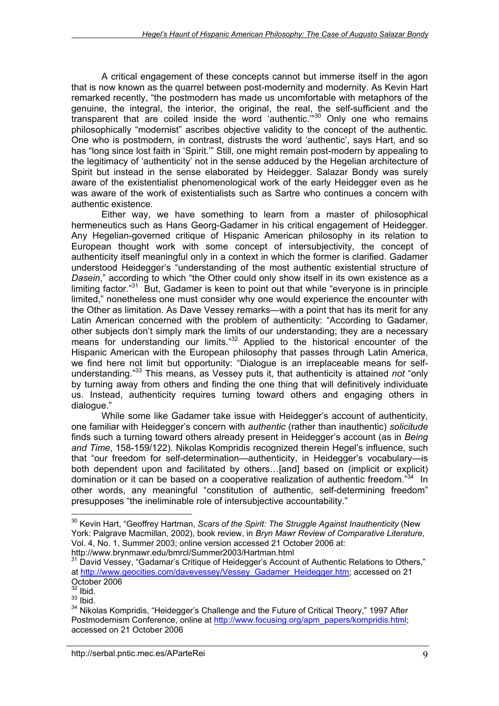A critical engagement of these concepts cannot but immerse itself in the agon that is now known as the quarrel between post-modernity and modernity. As Kevin Hart remarked recently, "the postmodern has made us uncomfortable with metaphors of the genuine, the integral, the interior, the original, the real, the self-sufficient and the transparent that are coiled inside the word 'authentic.'"30 Only one who remains philosophically "modernist" ascribes objective validity to the concept of the authentic. One who is postmodern, in contrast, distrusts the word 'authentic', says Hart, and so has "long since lost faith in 'Spirit.'" Still, one might remain post-modern by appealing to the legitimacy of 'authenticity' not in the sense adduced by the Hegelian architecture of Spirit but instead in the sense elaborated by Heidegger. Salazar Bondy was surely aware of the existentialist phenomenological work of the early Heidegger even as he was aware of the work of existentialists such as Sartre who continues a concern with authentic existence.

Either way, we have something to learn from a master of philosophical hermeneutics such as Hans Georg-Gadamer in his critical engagement of Heidegger. Any Hegelian-governed critique of Hispanic American philosophy in its relation to European thought work with some concept of intersubjectivity, the concept of authenticity itself meaningful only in a context in which the former is clarified. Gadamer understood Heidegger's "understanding of the most authentic existential structure of *Dasein*," according to which "the Other could only show itself in its own existence as a limiting factor. $31$  But, Gadamer is keen to point out that while "everyone is in principle limited," nonetheless one must consider why one would experience the encounter with the Other as limitation. As Dave Vessey remarks—with a point that has its merit for any Latin American concerned with the problem of authenticity: "According to Gadamer, other subjects don't simply mark the limits of our understanding; they are a necessary means for understanding our limits."<sup>32</sup> Applied to the historical encounter of the Hispanic American with the European philosophy that passes through Latin America, we find here not limit but opportunity: "Dialogue is an irreplaceable means for selfunderstanding."33 This means, as Vessey puts it, that authenticity is attained *not* "only by turning away from others and finding the one thing that will definitively individuate us. Instead, authenticity requires turning toward others and engaging others in dialogue."

While some like Gadamer take issue with Heidegger's account of authenticity, one familiar with Heidegger's concern with *authentic* (rather than inauthentic) *solicitude* finds such a turning toward others already present in Heidegger's account (as in *Being and Time*, 158-159/122). Nikolas Kompridis recognized therein Hegel's influence, such that "our freedom for self-determination—authenticity, in Heidegger's vocabulary—is both dependent upon and facilitated by others…[and] based on (implicit or explicit) domination or it can be based on a cooperative realization of authentic freedom."<sup>34</sup> In other words, any meaningful "constitution of authentic, self-determining freedom" presupposes "the ineliminable role of intersubjective accountability."

<sup>&</sup>lt;sup>30</sup> Kevin Hart, "Geoffrey Hartman, *Scars of the Spirit: The Struggle Against Inauthenticity* (New York: Palgrave Macmillan, 2002), book review, in *Bryn Mawr Review of Comparative Literature*, Vol. 4, No. 1, Summer 2003; online version accessed 21 October 2006 at: <http://www.brynmawr.edu/bmrcl/Summer2003/Hartman.html>

<sup>&</sup>lt;sup>31</sup> David Vessey, "Gadamar's Critique of Heidegger's Account of Authentic Relations to Others," at [http://www.geocities.com/davevessey/Vessey\\_Gadamer\\_Heidegger.htm;](http://www.geocities.com/davevessey/Vessey_Gadamer_Heidegger.htm) accessed on 21 October 2006

 $32$  lbid.

 $33$  Ibid.

<sup>&</sup>lt;sup>34</sup> Nikolas Kompridis, "Heidegger's Challenge and the Future of Critical Theory," 1997 After Postmodernism Conference, online at [http://www.focusing.org/apm\\_papers/kompridis.html;](http://www.focusing.org/apm_papers/kompridis.html) accessed on 21 October 2006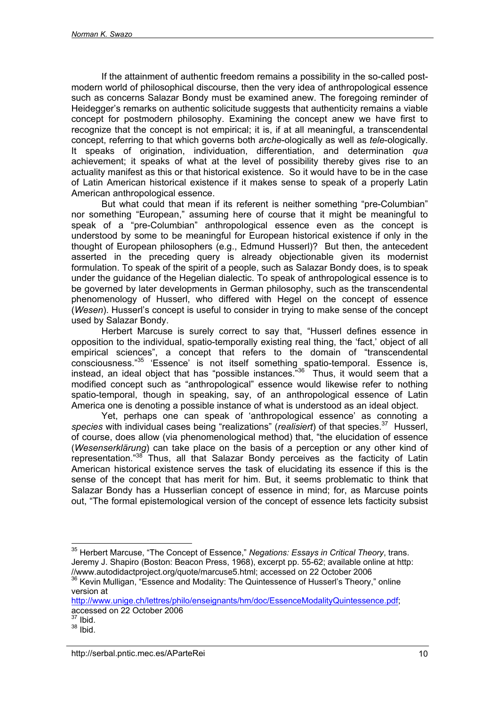If the attainment of authentic freedom remains a possibility in the so-called postmodern world of philosophical discourse, then the very idea of anthropological essence such as concerns Salazar Bondy must be examined anew. The foregoing reminder of Heidegger's remarks on authentic solicitude suggests that authenticity remains a viable concept for postmodern philosophy. Examining the concept anew we have first to recognize that the concept is not empirical; it is, if at all meaningful, a transcendental concept, referring to that which governs both *arche*-ologically as well as *tele*-ologically. It speaks of origination, individuation, differentiation, and determination *qua* achievement; it speaks of what at the level of possibility thereby gives rise to an actuality manifest as this or that historical existence. So it would have to be in the case of Latin American historical existence if it makes sense to speak of a properly Latin American anthropological essence.

But what could that mean if its referent is neither something "pre-Columbian" nor something "European," assuming here of course that it might be meaningful to speak of a "pre-Columbian" anthropological essence even as the concept is understood by some to be meaningful for European historical existence if only in the thought of European philosophers (e.g., Edmund Husserl)? But then, the antecedent asserted in the preceding query is already objectionable given its modernist formulation. To speak of the spirit of a people, such as Salazar Bondy does, is to speak under the guidance of the Hegelian dialectic. To speak of anthropological essence is to be governed by later developments in German philosophy, such as the transcendental phenomenology of Husserl, who differed with Hegel on the concept of essence (*Wesen*). Husserl's concept is useful to consider in trying to make sense of the concept used by Salazar Bondy.

Herbert Marcuse is surely correct to say that, "Husserl defines essence in opposition to the individual, spatio-temporally existing real thing, the 'fact,' object of all empirical sciences", a concept that refers to the domain of "transcendental consciousness."35 'Essence' is not itself something spatio-temporal. Essence is, instead, an ideal object that has "possible instances."36 Thus, it would seem that a modified concept such as "anthropological" essence would likewise refer to nothing spatio-temporal, though in speaking, say, of an anthropological essence of Latin America one is denoting a possible instance of what is understood as an ideal object.

Yet, perhaps one can speak of 'anthropological essence' as connoting a *species* with individual cases being "realizations" (*realisiert*) of that species.37 Husserl, of course, does allow (via phenomenological method) that, "the elucidation of essence (*Wesenserklärung*) can take place on the basis of a perception or any other kind of representation."38 Thus, all that Salazar Bondy perceives as the facticity of Latin American historical existence serves the task of elucidating its essence if this is the sense of the concept that has merit for him. But, it seems problematic to think that Salazar Bondy has a Husserlian concept of essence in mind; for, as Marcuse points out, "The formal epistemological version of the concept of essence lets facticity subsist

<sup>35</sup> Herbert Marcuse, "The Concept of Essence," *Negations: Essays in Critical Theory*, trans. Jeremy J. Shapiro (Boston: Beacon Press, 1968), excerpt pp. 55-62; available online at http: //www.autodidactproject.org/quote/marcuse5.html; accessed on 22 October 2006

<sup>&</sup>lt;sup>36</sup> Kevin Mulligan, "Essence and Modality: The Quintessence of Husserl's Theory," online version at

[http://www.unige.ch/lettres/philo/enseignants/hm/doc/EssenceModalityQuintessence.pdf;](http://www.unige.ch/lettres/philo/enseignants/hm/doc/EssenceModalityQuintessence.pdf) accessed on 22 October 2006

 $37$  Ibid.

 $38$  Ibid.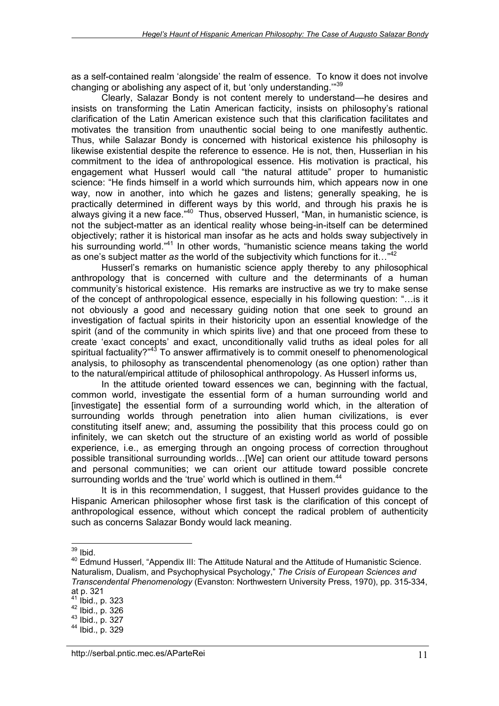as a self-contained realm 'alongside' the realm of essence. To know it does not involve changing or abolishing any aspect of it, but 'only understanding."<sup>39</sup>

Clearly, Salazar Bondy is not content merely to understand—he desires and insists on transforming the Latin American facticity, insists on philosophy's rational clarification of the Latin American existence such that this clarification facilitates and motivates the transition from unauthentic social being to one manifestly authentic. Thus, while Salazar Bondy is concerned with historical existence his philosophy is likewise existential despite the reference to essence. He is not, then, Husserlian in his commitment to the idea of anthropological essence. His motivation is practical, his engagement what Husserl would call "the natural attitude" proper to humanistic science: "He finds himself in a world which surrounds him, which appears now in one way, now in another, into which he gazes and listens; generally speaking, he is practically determined in different ways by this world, and through his praxis he is always giving it a new face."<sup>40</sup> Thus, observed Husserl, "Man, in humanistic science, is not the subject-matter as an identical reality whose being-in-itself can be determined objectively; rather it is historical man insofar as he acts and holds sway subjectively in his surrounding world."<sup>41</sup> In other words, "humanistic science means taking the world as one's subject matter *as* the world of the subjectivity which functions for it…"42

Husserl's remarks on humanistic science apply thereby to any philosophical anthropology that is concerned with culture and the determinants of a human community's historical existence. His remarks are instructive as we try to make sense of the concept of anthropological essence, especially in his following question: "…is it not obviously a good and necessary guiding notion that one seek to ground an investigation of factual spirits in their historicity upon an essential knowledge of the spirit (and of the community in which spirits live) and that one proceed from these to create 'exact concepts' and exact, unconditionally valid truths as ideal poles for all spiritual factuality?"<sup>43</sup> To answer affirmatively is to commit oneself to phenomenological analysis, to philosophy as transcendental phenomenology (as one option) rather than to the natural/empirical attitude of philosophical anthropology. As Husserl informs us,

In the attitude oriented toward essences we can, beginning with the factual, common world, investigate the essential form of a human surrounding world and [investigate] the essential form of a surrounding world which, in the alteration of surrounding worlds through penetration into alien human civilizations, is ever constituting itself anew; and, assuming the possibility that this process could go on infinitely, we can sketch out the structure of an existing world as world of possible experience, i.e., as emerging through an ongoing process of correction throughout possible transitional surrounding worlds…[We] can orient our attitude toward persons and personal communities; we can orient our attitude toward possible concrete surrounding worlds and the 'true' world which is outlined in them.<sup>44</sup>

It is in this recommendation, I suggest, that Husserl provides guidance to the Hispanic American philosopher whose first task is the clarification of this concept of anthropological essence, without which concept the radical problem of authenticity such as concerns Salazar Bondy would lack meaning.

 $\overline{a}$  $39$  Ibid.

<sup>&</sup>lt;sup>40</sup> Edmund Husserl, "Appendix III: The Attitude Natural and the Attitude of Humanistic Science. Naturalism, Dualism, and Psychophysical Psychology," *The Crisis of European Sciences and Transcendental Phenomenology* (Evanston: Northwestern University Press, 1970), pp. 315-334,

at p. 321<br><sup>41</sup> Ibid., p. 323

<sup>42</sup> Ibid., p. 326<br>
43 Ibid., p. 327<br>
44 Ibid., p. 329